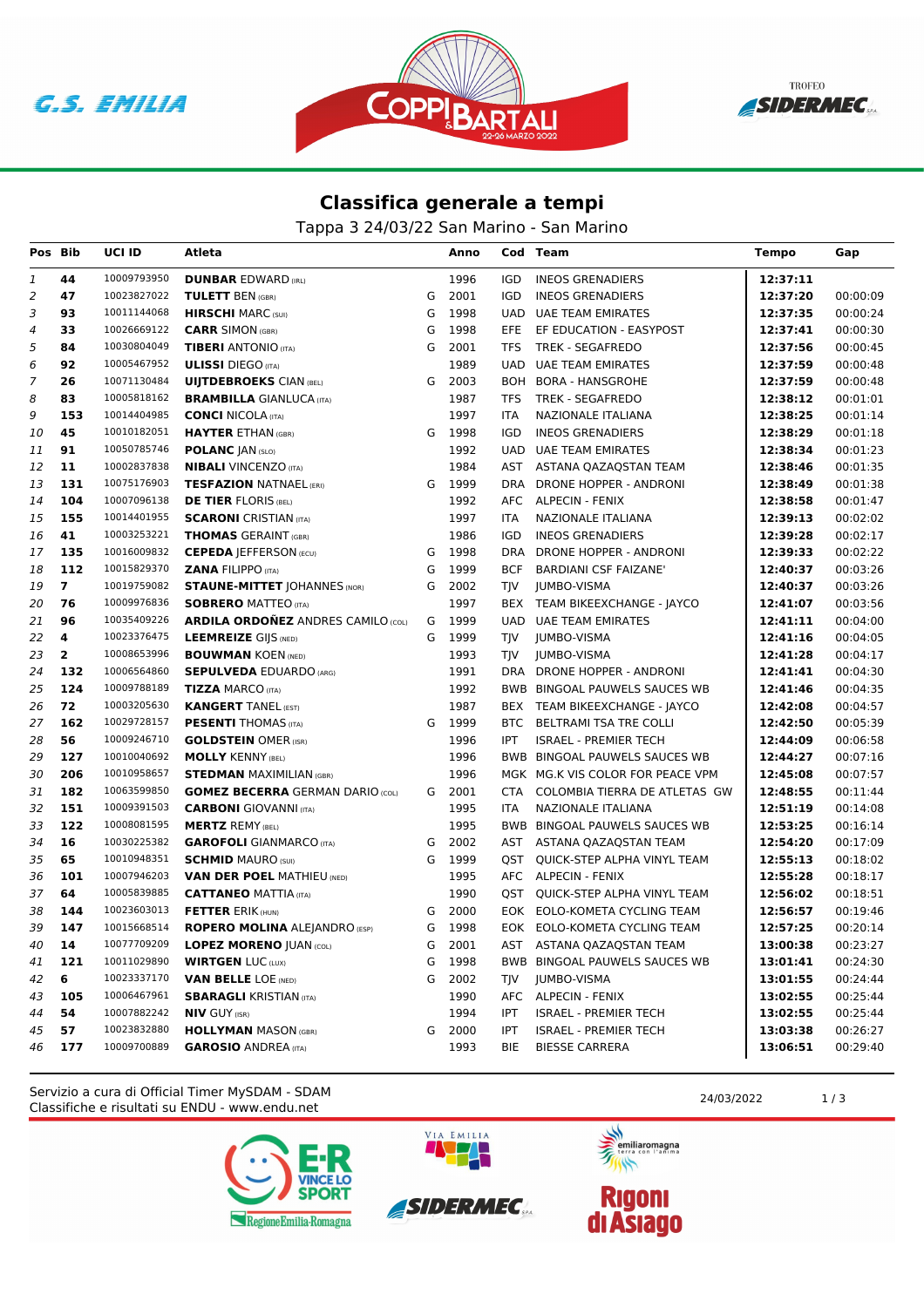G.S. EMILIA





## **Classifica generale a tempi**

Tappa 3 24/03/22 San Marino - San Marino

| Pos Bib                   |                | UCI ID      | Atleta                                    |   | Anno |            | Cod Team                         | Tempo    | Gap      |
|---------------------------|----------------|-------------|-------------------------------------------|---|------|------------|----------------------------------|----------|----------|
| 1                         | 44             | 10009793950 | <b>DUNBAR EDWARD (IRL)</b>                |   | 1996 | <b>IGD</b> | <b>INEOS GRENADIERS</b>          | 12:37:11 |          |
| $\overline{2}$            | 47             | 10023827022 | <b>TULETT BEN (GBR)</b>                   | G | 2001 | <b>IGD</b> | <b>INEOS GRENADIERS</b>          | 12:37:20 | 00:00:09 |
| 3                         | 93             | 10011144068 | <b>HIRSCHI</b> MARC (SUI)                 | G | 1998 | <b>UAD</b> | UAE TEAM EMIRATES                | 12:37:35 | 00:00:24 |
| $\ensuremath{\mathit{4}}$ | 33             | 10026669122 | <b>CARR SIMON (GBR)</b>                   | G | 1998 | EFE.       | EF EDUCATION - EASYPOST          | 12:37:41 | 00:00:30 |
| 5                         | 84             | 10030804049 | <b>TIBERI ANTONIO (ITA)</b>               | G | 2001 | <b>TFS</b> | TREK - SEGAFREDO                 | 12:37:56 | 00:00:45 |
| 6                         | 92             | 10005467952 | <b>ULISSI</b> DIEGO (ITA)                 |   | 1989 | <b>UAD</b> | <b>UAE TEAM EMIRATES</b>         | 12:37:59 | 00:00:48 |
| $\overline{7}$            | 26             | 10071130484 | <b>UIJTDEBROEKS CIAN (BEL)</b>            | G | 2003 | <b>BOH</b> | BORA - HANSGROHE                 | 12:37:59 | 00:00:48 |
| 8                         | 83             | 10005818162 | <b>BRAMBILLA GIANLUCA (ITA)</b>           |   | 1987 | <b>TFS</b> | <b>TREK - SEGAFREDO</b>          | 12:38:12 | 00:01:01 |
| 9                         | 153            | 10014404985 | <b>CONCI NICOLA (ITA)</b>                 |   | 1997 | <b>ITA</b> | NAZIONALE ITALIANA               | 12:38:25 | 00:01:14 |
| 10                        | 45             | 10010182051 | <b>HAYTER ETHAN (GBR)</b>                 | G | 1998 | IGD        | <b>INEOS GRENADIERS</b>          | 12:38:29 | 00:01:18 |
| 11                        | 91             | 10050785746 | <b>POLANC JAN (SLO)</b>                   |   | 1992 | UAD        | <b>UAE TEAM EMIRATES</b>         | 12:38:34 | 00:01:23 |
| 12                        | 11             | 10002837838 | <b>NIBALI VINCENZO (ITA)</b>              |   | 1984 |            | AST ASTANA QAZAQSTAN TEAM        | 12:38:46 | 00:01:35 |
| 13                        | 131            | 10075176903 | <b>TESFAZION NATNAEL (ERI)</b>            | G | 1999 | <b>DRA</b> | DRONE HOPPER - ANDRONI           | 12:38:49 | 00:01:38 |
| 14                        | 104            | 10007096138 | <b>DE TIER FLORIS (BEL)</b>               |   | 1992 | AFC        | <b>ALPECIN - FENIX</b>           | 12:38:58 | 00:01:47 |
| 15                        | 155            | 10014401955 | <b>SCARONI</b> CRISTIAN (ITA)             |   | 1997 | <b>ITA</b> | NAZIONALE ITALIANA               | 12:39:13 | 00:02:02 |
| 16                        | 41             | 10003253221 | <b>THOMAS</b> GERAINT (GBR)               |   | 1986 | IGD        | <b>INEOS GRENADIERS</b>          | 12:39:28 | 00:02:17 |
| 17                        | 135            | 10016009832 | <b>CEPEDA JEFFERSON (ECU)</b>             | G | 1998 | <b>DRA</b> | DRONE HOPPER - ANDRONI           | 12:39:33 | 00:02:22 |
| 18                        | 112            | 10015829370 | <b>ZANA FILIPPO (ITA)</b>                 | G | 1999 | <b>BCF</b> | <b>BARDIANI CSF FAIZANE'</b>     | 12:40:37 | 00:03:26 |
| 19                        | $\overline{7}$ | 10019759082 | <b>STAUNE-MITTET JOHANNES (NOR)</b>       | G | 2002 | <b>TIV</b> | <b>JUMBO-VISMA</b>               | 12:40:37 | 00:03:26 |
| 20                        | 76             | 10009976836 | <b>SOBRERO MATTEO (ITA)</b>               |   | 1997 | <b>BEX</b> | TEAM BIKEEXCHANGE - JAYCO        | 12:41:07 | 00:03:56 |
| 21                        | 96             | 10035409226 | <b>ARDILA ORDOÑEZ ANDRES CAMILO (COL)</b> | G | 1999 | <b>UAD</b> | UAE TEAM EMIRATES                | 12:41:11 | 00:04:00 |
| 22                        | 4              | 10023376475 | <b>LEEMREIZE GIJS (NED)</b>               | G | 1999 | TJV        | <b>JUMBO-VISMA</b>               | 12:41:16 | 00:04:05 |
| 23                        | $\overline{2}$ | 10008653996 | <b>BOUWMAN KOEN (NED)</b>                 |   | 1993 | <b>TIV</b> | <b>JUMBO-VISMA</b>               | 12:41:28 | 00:04:17 |
| 24                        | 132            | 10006564860 | <b>SEPULVEDA EDUARDO (ARG)</b>            |   | 1991 |            | DRA DRONE HOPPER - ANDRONI       | 12:41:41 | 00:04:30 |
| 25                        | 124            | 10009788189 | <b>TIZZA MARCO (ITA)</b>                  |   | 1992 |            | BWB BINGOAL PAUWELS SAUCES WB    | 12:41:46 | 00:04:35 |
| 26                        | 72             | 10003205630 | <b>KANGERT TANEL (EST)</b>                |   | 1987 |            | BEX TEAM BIKEEXCHANGE - JAYCO    | 12:42:08 | 00:04:57 |
| 27                        | 162            | 10029728157 | <b>PESENTI</b> THOMAS (ITA)               | G | 1999 | <b>BTC</b> | <b>BELTRAMI TSA TRE COLLI</b>    | 12:42:50 | 00:05:39 |
| 28                        | 56             | 10009246710 | <b>GOLDSTEIN OMER (ISR)</b>               |   | 1996 | <b>IPT</b> | <b>ISRAEL - PREMIER TECH</b>     | 12:44:09 | 00:06:58 |
| 29                        | 127            | 10010040692 | <b>MOLLY KENNY (BEL)</b>                  |   | 1996 |            | BWB BINGOAL PAUWELS SAUCES WB    | 12:44:27 | 00:07:16 |
| 30                        | 206            | 10010958657 | <b>STEDMAN MAXIMILIAN (GBR)</b>           |   | 1996 |            | MGK MG.K VIS COLOR FOR PEACE VPM | 12:45:08 | 00:07:57 |
| 31                        | 182            | 10063599850 | <b>GOMEZ BECERRA GERMAN DARIO (COL)</b>   | G | 2001 | CTA        | COLOMBIA TIERRA DE ATLETAS GW    | 12:48:55 | 00:11:44 |
| 32                        | 151            | 10009391503 | <b>CARBONI</b> GIOVANNI (ITA)             |   | 1995 | <b>ITA</b> | NAZIONALE ITALIANA               | 12:51:19 | 00:14:08 |
| 33                        | 122            | 10008081595 | <b>MERTZ REMY (BEL)</b>                   |   | 1995 |            | BWB BINGOAL PAUWELS SAUCES WB    | 12:53:25 | 00:16:14 |
| 34                        | 16             | 10030225382 | <b>GAROFOLI</b> GIANMARCO (ITA)           | G | 2002 |            | AST ASTANA QAZAQSTAN TEAM        | 12:54:20 | 00:17:09 |
| 35                        | 65             | 10010948351 | <b>SCHMID MAURO (SUI)</b>                 | G | 1999 | OST        | QUICK-STEP ALPHA VINYL TEAM      | 12:55:13 | 00:18:02 |
| 36                        | 101            | 10007946203 | <b>VAN DER POEL MATHIEU (NED)</b>         |   | 1995 |            | AFC ALPECIN - FENIX              | 12:55:28 | 00:18:17 |
| 37                        | 64             | 10005839885 | <b>CATTANEO MATTIA (ITA)</b>              |   | 1990 |            | QST QUICK-STEP ALPHA VINYL TEAM  | 12:56:02 | 00:18:51 |
| 38                        | 144            | 10023603013 | <b>FETTER ERIK (HUN)</b>                  | G | 2000 |            | EOK EOLO-KOMETA CYCLING TEAM     | 12:56:57 | 00:19:46 |
| 39                        | 147            | 10015668514 | <b>ROPERO MOLINA ALEJANDRO (ESP)</b>      | G | 1998 |            | EOK EOLO-KOMETA CYCLING TEAM     | 12:57:25 | 00:20:14 |
| 40                        | 14             | 10077709209 | <b>LOPEZ MORENO JUAN (COL)</b>            | G | 2001 |            | AST ASTANA QAZAQSTAN TEAM        | 13:00:38 | 00:23:27 |
| 41                        | 121            | 10011029890 | <b>WIRTGEN LUC (LUX)</b>                  | G | 1998 |            | BWB BINGOAL PAUWELS SAUCES WB    | 13:01:41 | 00:24:30 |
| 42                        | 6              | 10023337170 | <b>VAN BELLE LOE (NED)</b>                | G | 2002 | TJV        | <b>JUMBO-VISMA</b>               | 13:01:55 | 00:24:44 |
| 43                        | 105            | 10006467961 | <b>SBARAGLI KRISTIAN (ITA)</b>            |   | 1990 |            | AFC ALPECIN - FENIX              | 13:02:55 | 00:25:44 |
| 44                        | 54             | 10007882242 | <b>NIV GUY (ISR)</b>                      |   | 1994 | <b>IPT</b> | <b>ISRAEL - PREMIER TECH</b>     | 13:02:55 | 00:25:44 |
| 45                        | 57             | 10023832880 | <b>HOLLYMAN MASON (GBR)</b>               | G | 2000 | <b>IPT</b> | <b>ISRAEL - PREMIER TECH</b>     | 13:03:38 | 00:26:27 |
| 46                        | 177            | 10009700889 | <b>GAROSIO ANDREA</b> (ITA)               |   | 1993 | <b>BIE</b> | <b>BIESSE CARRERA</b>            | 13:06:51 | 00:29:40 |

Classifiche e risultati su ENDU - www.endu.net Servizio a cura di Official Timer MySDAM - SDAM 24/03/2022 1/3





VIA EMILIA

美元

emiliaromagna  $\rightarrow$ 

**Rigoni<br>di Asiago**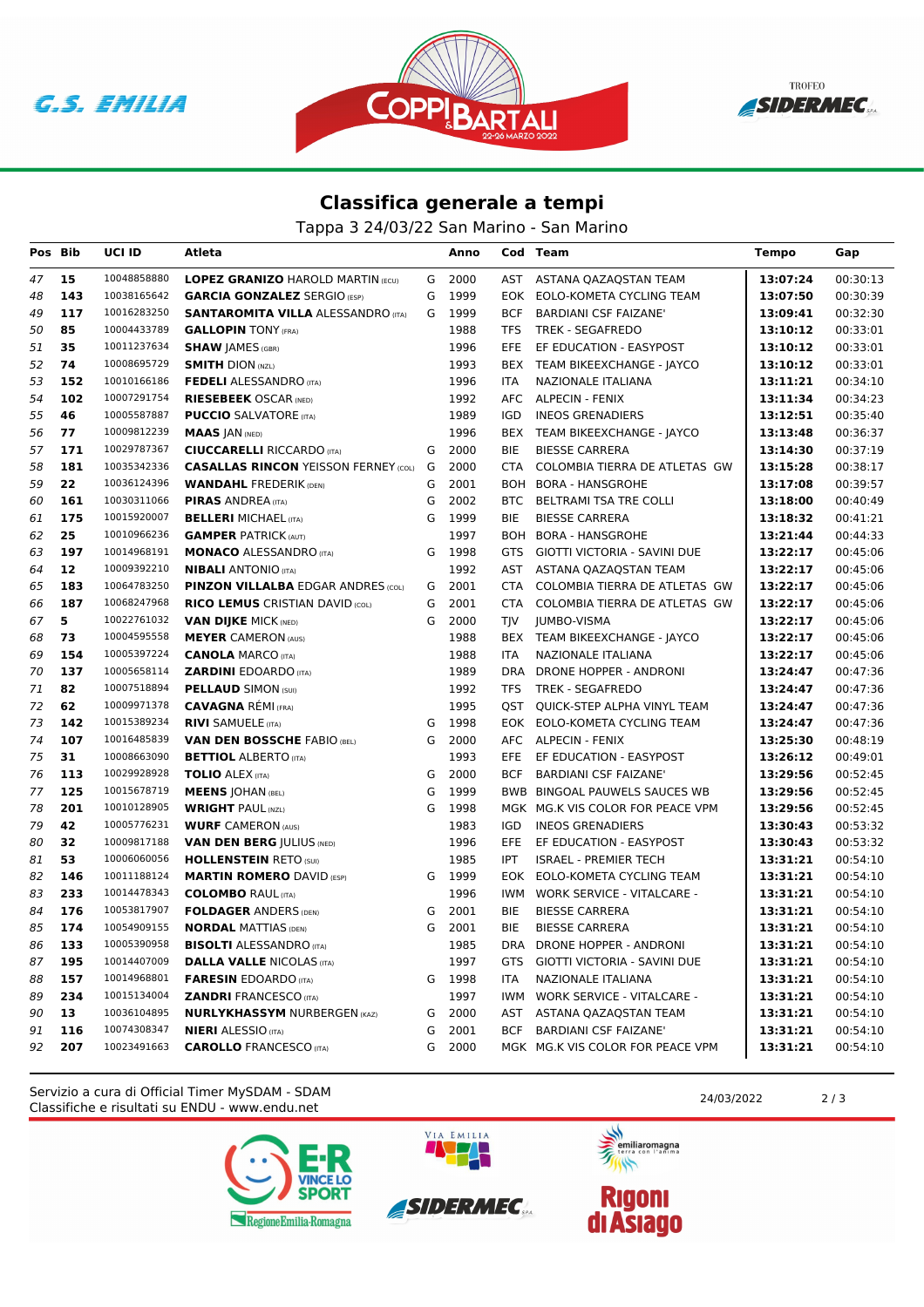





## **Classifica generale a tempi**

Tappa 3 24/03/22 San Marino - San Marino

| Pos Bib  |          | UCI ID                     | Atleta                                                            |   | Anno         |                   | Cod Team                                                 | Tempo                | Gap                  |
|----------|----------|----------------------------|-------------------------------------------------------------------|---|--------------|-------------------|----------------------------------------------------------|----------------------|----------------------|
| 47       | 15       | 10048858880                | <b>LOPEZ GRANIZO HAROLD MARTIN (ECU)</b>                          |   | G 2000       |                   | AST ASTANA QAZAQSTAN TEAM                                | 13:07:24             | 00:30:13             |
| 48       | 143      | 10038165642                | <b>GARCIA GONZALEZ SERGIO (ESP)</b>                               | G | 1999         |                   | EOK EOLO-KOMETA CYCLING TEAM                             | 13:07:50             | 00:30:39             |
| 49       | 117      | 10016283250                | <b>SANTAROMITA VILLA ALESSANDRO (ITA)</b>                         | G | 1999         | <b>BCF</b>        | <b>BARDIANI CSF FAIZANE'</b>                             | 13:09:41             | 00:32:30             |
| 50       | 85       | 10004433789                | <b>GALLOPIN TONY (FRA)</b>                                        |   | 1988         | TFS               | <b>TREK - SEGAFREDO</b>                                  | 13:10:12             | 00:33:01             |
| 51       | 35       | 10011237634                | <b>SHAW JAMES (GBR)</b>                                           |   | 1996         | EFE               | EF EDUCATION - EASYPOST                                  | 13:10:12             | 00:33:01             |
| 52       | 74       | 10008695729                | <b>SMITH DION (NZL)</b>                                           |   | 1993         |                   | BEX TEAM BIKEEXCHANGE - JAYCO                            | 13:10:12             | 00:33:01             |
| 53       | 152      | 10010166186                | <b>FEDELI ALESSANDRO</b> (ITA)                                    |   | 1996         | <b>ITA</b>        | NAZIONALE ITALIANA                                       | 13:11:21             | 00:34:10             |
| 54       | 102      | 10007291754                | <b>RIESEBEEK OSCAR (NED)</b>                                      |   | 1992         |                   | AFC ALPECIN - FENIX                                      | 13:11:34             | 00:34:23             |
| 55       | 46       | 10005587887                | <b>PUCCIO</b> SALVATORE (ITA)                                     |   | 1989         | IGD               | <b>INEOS GRENADIERS</b>                                  | 13:12:51             | 00:35:40             |
| 56       | 77       | 10009812239                | <b>MAAS JAN (NED)</b>                                             |   | 1996         | BEX               | TEAM BIKEEXCHANGE - JAYCO                                | 13:13:48             | 00:36:37             |
| 57       | 171      | 10029787367                | <b>CIUCCARELLI RICCARDO (ITA)</b>                                 | G | 2000         | BIE               | <b>BIESSE CARRERA</b>                                    | 13:14:30             | 00:37:19             |
| 58       | 181      | 10035342336                | <b>CASALLAS RINCON YEISSON FERNEY (COL) G</b>                     |   | 2000         | CTA               | COLOMBIA TIERRA DE ATLETAS GW                            | 13:15:28             | 00:38:17             |
| 59       | 22       | 10036124396                | <b>WANDAHL FREDERIK (DEN)</b>                                     | G | 2001         |                   | BOH BORA - HANSGROHE                                     | 13:17:08             | 00:39:57             |
| 60       | 161      | 10030311066                | <b>PIRAS ANDREA (ITA)</b>                                         | G | 2002         |                   | BTC BELTRAMI TSA TRE COLLI                               | 13:18:00             | 00:40:49             |
| 61       | 175      | 10015920007                | <b>BELLERI MICHAEL (ITA)</b>                                      | G | 1999         | BIE               | <b>BIESSE CARRERA</b>                                    | 13:18:32             | 00:41:21             |
| 62       | 25       | 10010966236                | <b>GAMPER PATRICK (AUT)</b>                                       |   | 1997         |                   | BOH BORA - HANSGROHE                                     | 13:21:44             | 00:44:33             |
| 63       | 197      | 10014968191                | <b>MONACO ALESSANDRO</b> (ITA)                                    | G | 1998         | GTS               | GIOTTI VICTORIA - SAVINI DUE                             | 13:22:17             | 00:45:06             |
| 64       | 12       | 10009392210                | <b>NIBALI</b> ANTONIO (ITA)                                       |   | 1992         | AST               | ASTANA QAZAQSTAN TEAM                                    | 13:22:17             | 00:45:06             |
| 65       | 183      | 10064783250                | <b>PINZON VILLALBA EDGAR ANDRES (COL)</b>                         | G | 2001         | CTA               | COLOMBIA TIERRA DE ATLETAS GW                            | 13:22:17             | 00:45:06             |
| 66       | 187      | 10068247968                | <b>RICO LEMUS CRISTIAN DAVID (COL)</b>                            | G | 2001         | CTA               | COLOMBIA TIERRA DE ATLETAS GW                            | 13:22:17             | 00:45:06             |
| 67       | 5        | 10022761032                | <b>VAN DIJKE MICK (NED)</b>                                       | G | 2000         | TJV               | JUMBO-VISMA                                              | 13:22:17             | 00:45:06             |
| 68       | 73       | 10004595558                | <b>MEYER CAMERON (AUS)</b>                                        |   | 1988         | BEX               | TEAM BIKEEXCHANGE - JAYCO                                | 13:22:17             | 00:45:06             |
| 69       | 154      | 10005397224                | <b>CANOLA MARCO (ITA)</b>                                         |   | 1988         | ITA.              | NAZIONALE ITALIANA                                       | 13:22:17             | 00:45:06             |
| 70       | 137      | 10005658114                | <b>ZARDINI EDOARDO (ITA)</b>                                      |   | 1989         |                   | DRA DRONE HOPPER - ANDRONI                               | 13:24:47             | 00:47:36             |
| 71       | 82       | 10007518894                | <b>PELLAUD SIMON (SUI)</b>                                        |   | 1992         | TFS               | TREK - SEGAFREDO                                         | 13:24:47             | 00:47:36             |
| 72       | 62       | 10009971378                | <b>CAVAGNA REMI (FRA)</b>                                         |   | 1995         | QST               | QUICK-STEP ALPHA VINYL TEAM                              | 13:24:47             | 00:47:36             |
| 73       | 142      | 10015389234                | <b>RIVI SAMUELE (ITA)</b>                                         | G | 1998         |                   | EOK EOLO-KOMETA CYCLING TEAM                             | 13:24:47             | 00:47:36             |
| 74       | 107      | 10016485839                | <b>VAN DEN BOSSCHE FABIO (BEL)</b>                                | G | 2000         |                   | AFC ALPECIN - FENIX                                      | 13:25:30             | 00:48:19             |
| 75       | 31       | 10008663090                | <b>BETTIOL ALBERTO (ITA)</b>                                      |   | 1993         | EFE               | EF EDUCATION - EASYPOST                                  | 13:26:12             | 00:49:01             |
| 76       | 113      | 10029928928                | <b>TOLIO</b> ALEX (ITA)                                           | G | 2000         | <b>BCF</b>        | <b>BARDIANI CSF FAIZANE'</b>                             | 13:29:56             | 00:52:45             |
| 77       | 125      | 10015678719                | <b>MEENS JOHAN (BEL)</b>                                          | G | 1999         |                   | BWB BINGOAL PAUWELS SAUCES WB                            | 13:29:56             | 00:52:45             |
| 78       | 201      | 10010128905                | <b>WRIGHT PAUL (NZL)</b>                                          | G | 1998         |                   | MGK MG.K VIS COLOR FOR PEACE VPM                         | 13:29:56             | 00:52:45             |
| 79       | 42<br>32 | 10005776231<br>10009817188 | <b>WURF CAMERON (AUS)</b>                                         |   | 1983         | IGD               | <b>INEOS GRENADIERS</b>                                  | 13:30:43             | 00:53:32             |
| 80<br>81 | 53       | 10006060056                | <b>VAN DEN BERG JULIUS (NED)</b>                                  |   | 1996<br>1985 | EFE<br><b>IPT</b> | EF EDUCATION - EASYPOST                                  | 13:30:43             | 00:53:32<br>00:54:10 |
| 82       | 146      | 10011188124                | <b>HOLLENSTEIN RETO (SUI)</b><br><b>MARTIN ROMERO DAVID (ESP)</b> | G | 1999         | EOK.              | <b>ISRAEL - PREMIER TECH</b><br>EOLO-KOMETA CYCLING TEAM | 13:31:21<br>13:31:21 | 00:54:10             |
| 83       | 233      | 10014478343                | <b>COLOMBO RAUL (ITA)</b>                                         |   | 1996         | IWM               | <b>WORK SERVICE - VITALCARE -</b>                        | 13:31:21             | 00:54:10             |
| 84       | 176      | 10053817907                | <b>FOLDAGER ANDERS (DEN)</b>                                      | G | 2001         | BIE               | <b>BIESSE CARRERA</b>                                    | 13:31:21             | 00:54:10             |
| 85       | 174      | 10054909155                | <b>NORDAL MATTIAS (DEN)</b>                                       | G | 2001         | <b>BIE</b>        | <b>BIESSE CARRERA</b>                                    | 13:31:21             | 00:54:10             |
| 86       | 133      | 10005390958                | <b>BISOLTI</b> ALESSANDRO (ITA)                                   |   | 1985         |                   | DRA DRONE HOPPER - ANDRONI                               | 13:31:21             | 00:54:10             |
| 87       | 195      | 10014407009                | <b>DALLA VALLE NICOLAS (ITA)</b>                                  |   | 1997         |                   | GTS GIOTTI VICTORIA - SAVINI DUE                         | 13:31:21             | 00:54:10             |
| 88       | 157      | 10014968801                | <b>FARESIN</b> EDOARDO (ITA)                                      |   | G 1998       | ITA               | NAZIONALE ITALIANA                                       | 13:31:21             | 00:54:10             |
| 89       | 234      | 10015134004                | <b>ZANDRI FRANCESCO (ITA)</b>                                     |   | 1997         |                   | IWM WORK SERVICE - VITALCARE -                           | 13:31:21             | 00:54:10             |
| 90       | 13       | 10036104895                | <b>NURLYKHASSYM NURBERGEN (KAZ)</b>                               |   | G 2000       |                   | AST ASTANA QAZAQSTAN TEAM                                | 13:31:21             | 00:54:10             |
| 91       | 116      | 10074308347                | <b>NIERI</b> ALESSIO (ITA)                                        | G | 2001         |                   | BCF BARDIANI CSF FAIZANE'                                | 13:31:21             | 00:54:10             |
| 92       | 207      | 10023491663                | <b>CAROLLO</b> FRANCESCO (ITA)                                    |   | G 2000       |                   | MGK MG.K VIS COLOR FOR PEACE VPM                         | 13:31:21             | 00:54:10             |
|          |          |                            |                                                                   |   |              |                   |                                                          |                      |                      |

Classifiche e risultati su ENDU - www.endu.net Servizio a cura di Official Timer MySDAM - SDAM 2003/2022 2 / 3





VIA EMILIA